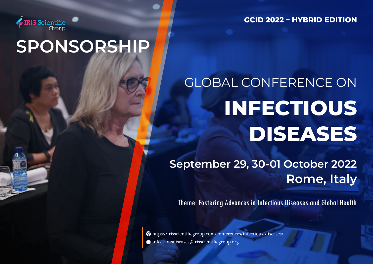

**GCID 2022 – HYBRID EDITION**

## **SPONSORSHIP**

# GLOBAL CONFERENCE ON **INFECTIOUS DISEASES**

**September 29, 30-01 October 2022 Rome, Italy**

Theme: Fostering Advances in Infectious Diseases and Global Health

https://irisscientificgroup.com/conferences/infectious-diseases/  $\blacktriangleright$  infectiousdiseases@irisscientificgroup.org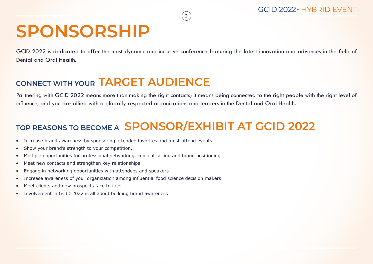## **SPONSORSHIP**

GCID 2022 is dedicated to offer the most dynamic and inclusive conference featuring the latest innovation and advances in the field of Dental and Oral Health.

2

#### **CONNECT WITH YOUR TARGET AUDIENCE**

Partnering with GCID 2022 means more than making the right contacts; It means being connected to the right people with the right level of influence, and you are allied with a globally respected organizations and leaders in the Dental and Oral Health.

### **TOP REASONS TO BECOME A SPONSOR/EXHIBIT AT GCID 2022**

- Increase brand awareness by sponsoring attendee favorites and must-attend events.
- Show your brand's strength to your competition.
- Multiple opportunities for professional networking, concept selling and brand positioning
- Meet new contacts and strengthen key relationships
- Engage in networking opportunities with attendees and speakers
- Increase awareness of your organization among influential food science decision makers
- Meet clients and new prospects face to face
- Involvement in GCID 2022 is all about building brand awareness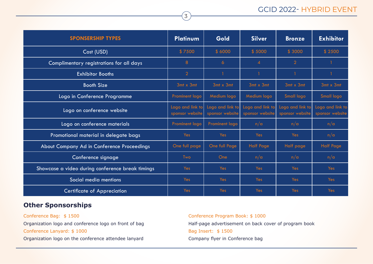#### GCID 2022- HYBRID EVENT

| <b>SPONSERSHIP TYPES</b>                         | <b>Platinum</b>                     | Gold                                | <b>Silver</b>                       | <b>Bronze</b>                       | <b>Exhibitor</b>                    |
|--------------------------------------------------|-------------------------------------|-------------------------------------|-------------------------------------|-------------------------------------|-------------------------------------|
| Cost (USD)                                       | \$7500                              | \$6000                              | \$5000                              | \$3000                              | \$2500                              |
| Complimentary registrations for all days         | 8                                   | 6                                   | $\overline{4}$                      | $\overline{2}$                      |                                     |
| <b>Exhibitor Booths</b>                          | $\overline{2}$                      |                                     | 1                                   |                                     |                                     |
| <b>Booth Size</b>                                | $3mt \times 3mt$                    | $3mt \times 3mt$                    | $3mt \times 3mt$                    | $3mt \times 3mt$                    | $3mt \times 3mt$                    |
| Logo in Conference Programme                     | Prominent logo                      | Medium logo                         | Medium logo                         | Small logo                          | Small logo                          |
| Logo on conference website                       | Logo and link to<br>sponsor website | Logo and link to<br>sponsor website | Logo and link to<br>sponsor website | Logo and link to<br>sponsor website | Logo and link to<br>sponsor website |
| Logo on conference materials                     | Prominent logo                      | Prominent logo                      | n/a                                 | n/a                                 | n/a                                 |
| Promotional material in delegate bags            | Yes                                 | <b>Yes</b>                          | Yes                                 | <b>Yes</b>                          | n/a                                 |
| About Company Ad in Conference Proceedings       | One full page                       | One full Page                       | <b>Half Page</b>                    | Half page                           | <b>Half Page</b>                    |
| Conference signage                               | Two                                 | One                                 | n/a                                 | n/a                                 | n/a                                 |
| Showcase a video during conference break timings | Yes                                 | Yes                                 | Yes                                 | Yes                                 | Yes                                 |
| Social media mentions                            | Yes                                 | Yes                                 | Yes                                 | Yes                                 | Yes                                 |
| <b>Certificate of Appreciation</b>               | Yes                                 | Yes                                 | Yes                                 | Yes                                 | Yes                                 |

3

#### **Other Sponsorships**

Conference Bag: \$ 1500 Organization logo and conference logo on front of bag Conference Lanyard: \$ 1000 Organization logo on the conference attendee lanyard

Conference Program Book: \$ 1000 Half-page advertisement on back cover of program book Bag Insert: \$ 1500 Company flyer in Conference bag